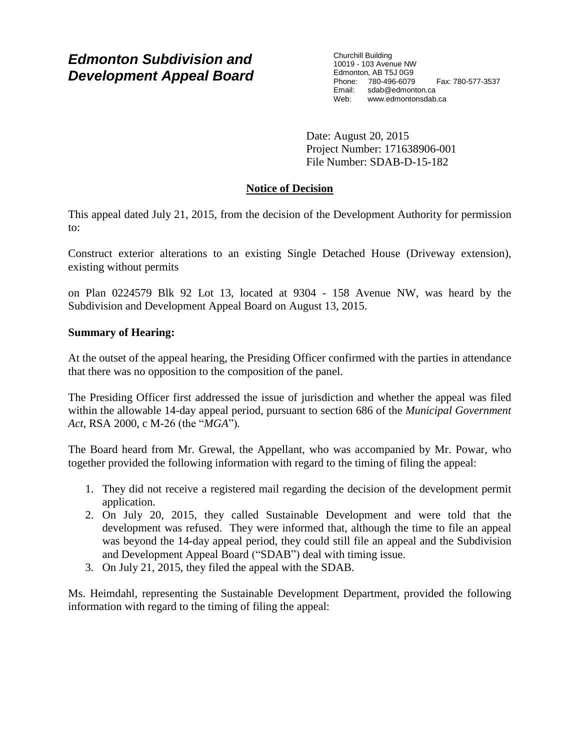# *Edmonton Subdivision and Development Appeal Board*

Churchill Building 10019 - 103 Avenue NW Edmonton, AB T5J 0G9 Phone: 780-496-6079 Fax: 780-577-3537 Email: sdab@edmonton.ca Web: www.edmontonsdab.ca

Date: August 20, 2015 Project Number: 171638906-001 File Number: SDAB-D-15-182

## **Notice of Decision**

This appeal dated July 21, 2015, from the decision of the Development Authority for permission to:

Construct exterior alterations to an existing Single Detached House (Driveway extension), existing without permits

on Plan 0224579 Blk 92 Lot 13, located at 9304 - 158 Avenue NW, was heard by the Subdivision and Development Appeal Board on August 13, 2015.

### **Summary of Hearing:**

At the outset of the appeal hearing, the Presiding Officer confirmed with the parties in attendance that there was no opposition to the composition of the panel.

The Presiding Officer first addressed the issue of jurisdiction and whether the appeal was filed within the allowable 14-day appeal period, pursuant to section 686 of the *Municipal Government Act*, RSA 2000, c M-26 (the "*MGA*")*.*

The Board heard from Mr. Grewal, the Appellant, who was accompanied by Mr. Powar, who together provided the following information with regard to the timing of filing the appeal:

- 1. They did not receive a registered mail regarding the decision of the development permit application.
- 2. On July 20, 2015, they called Sustainable Development and were told that the development was refused. They were informed that, although the time to file an appeal was beyond the 14-day appeal period, they could still file an appeal and the Subdivision and Development Appeal Board ("SDAB") deal with timing issue.
- 3. On July 21, 2015, they filed the appeal with the SDAB.

Ms. Heimdahl, representing the Sustainable Development Department, provided the following information with regard to the timing of filing the appeal: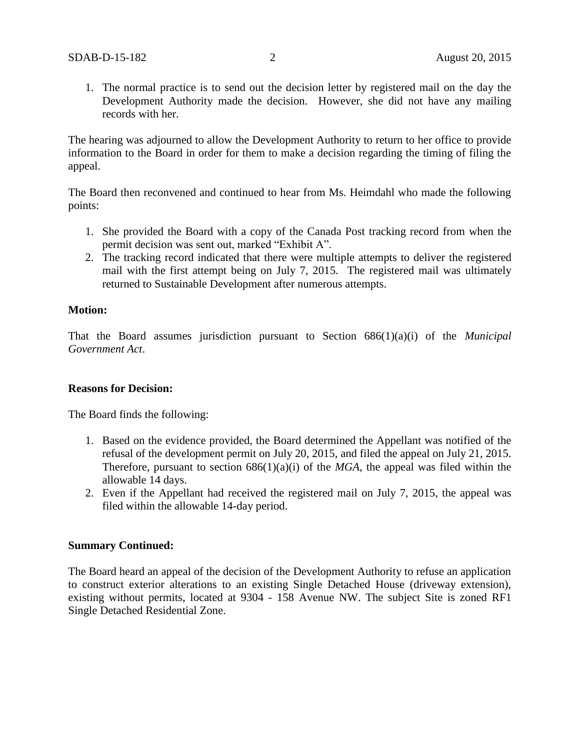1. The normal practice is to send out the decision letter by registered mail on the day the Development Authority made the decision. However, she did not have any mailing records with her.

The hearing was adjourned to allow the Development Authority to return to her office to provide information to the Board in order for them to make a decision regarding the timing of filing the appeal.

The Board then reconvened and continued to hear from Ms. Heimdahl who made the following points:

- 1. She provided the Board with a copy of the Canada Post tracking record from when the permit decision was sent out, marked "Exhibit A".
- 2. The tracking record indicated that there were multiple attempts to deliver the registered mail with the first attempt being on July 7, 2015. The registered mail was ultimately returned to Sustainable Development after numerous attempts.

#### **Motion:**

That the Board assumes jurisdiction pursuant to Section 686(1)(a)(i) of the *Municipal Government Act*.

#### **Reasons for Decision:**

The Board finds the following:

- 1. Based on the evidence provided, the Board determined the Appellant was notified of the refusal of the development permit on July 20, 2015, and filed the appeal on July 21, 2015. Therefore, pursuant to section  $686(1)(a)(i)$  of the *MGA*, the appeal was filed within the allowable 14 days.
- 2. Even if the Appellant had received the registered mail on July 7, 2015, the appeal was filed within the allowable 14-day period.

#### **Summary Continued:**

The Board heard an appeal of the decision of the Development Authority to refuse an application to construct exterior alterations to an existing Single Detached House (driveway extension), existing without permits, located at 9304 - 158 Avenue NW. The subject Site is zoned RF1 Single Detached Residential Zone.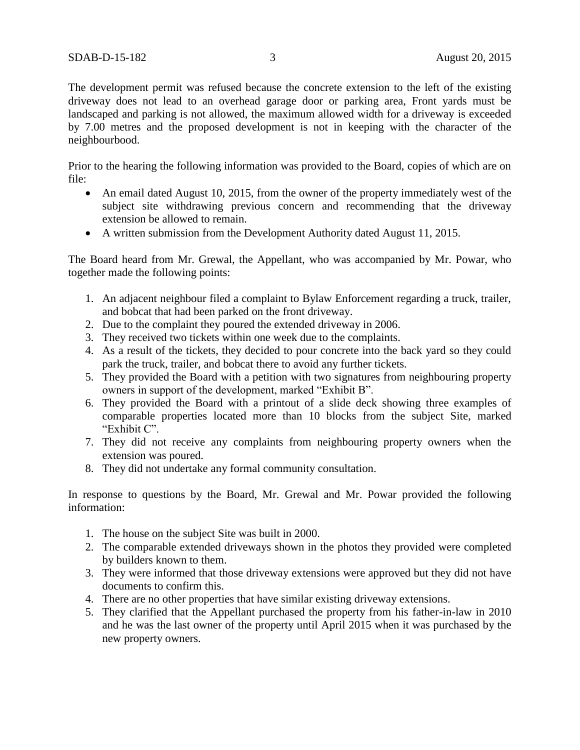The development permit was refused because the concrete extension to the left of the existing driveway does not lead to an overhead garage door or parking area, Front yards must be landscaped and parking is not allowed, the maximum allowed width for a driveway is exceeded by 7.00 metres and the proposed development is not in keeping with the character of the neighbourbood.

Prior to the hearing the following information was provided to the Board, copies of which are on file:

- An email dated August 10, 2015, from the owner of the property immediately west of the subject site withdrawing previous concern and recommending that the driveway extension be allowed to remain.
- A written submission from the Development Authority dated August 11, 2015.

The Board heard from Mr. Grewal, the Appellant, who was accompanied by Mr. Powar, who together made the following points:

- 1. An adjacent neighbour filed a complaint to Bylaw Enforcement regarding a truck, trailer, and bobcat that had been parked on the front driveway.
- 2. Due to the complaint they poured the extended driveway in 2006.
- 3. They received two tickets within one week due to the complaints.
- 4. As a result of the tickets, they decided to pour concrete into the back yard so they could park the truck, trailer, and bobcat there to avoid any further tickets.
- 5. They provided the Board with a petition with two signatures from neighbouring property owners in support of the development, marked "Exhibit B".
- 6. They provided the Board with a printout of a slide deck showing three examples of comparable properties located more than 10 blocks from the subject Site, marked "Exhibit C".
- 7. They did not receive any complaints from neighbouring property owners when the extension was poured.
- 8. They did not undertake any formal community consultation.

In response to questions by the Board, Mr. Grewal and Mr. Powar provided the following information:

- 1. The house on the subject Site was built in 2000.
- 2. The comparable extended driveways shown in the photos they provided were completed by builders known to them.
- 3. They were informed that those driveway extensions were approved but they did not have documents to confirm this.
- 4. There are no other properties that have similar existing driveway extensions.
- 5. They clarified that the Appellant purchased the property from his father-in-law in 2010 and he was the last owner of the property until April 2015 when it was purchased by the new property owners.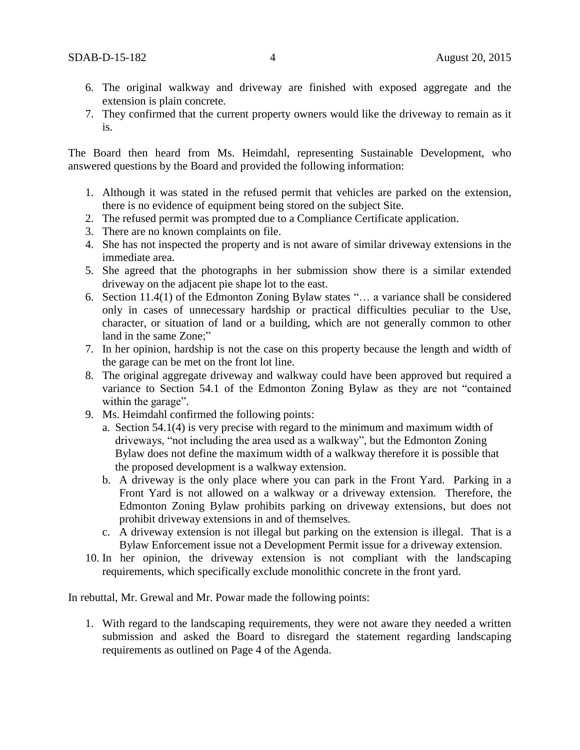- 6. The original walkway and driveway are finished with exposed aggregate and the extension is plain concrete.
- 7. They confirmed that the current property owners would like the driveway to remain as it is.

The Board then heard from Ms. Heimdahl, representing Sustainable Development, who answered questions by the Board and provided the following information:

- 1. Although it was stated in the refused permit that vehicles are parked on the extension, there is no evidence of equipment being stored on the subject Site.
- 2. The refused permit was prompted due to a Compliance Certificate application.
- 3. There are no known complaints on file.
- 4. She has not inspected the property and is not aware of similar driveway extensions in the immediate area.
- 5. She agreed that the photographs in her submission show there is a similar extended driveway on the adjacent pie shape lot to the east.
- 6. Section 11.4(1) of the Edmonton Zoning Bylaw states "… a variance shall be considered only in cases of unnecessary hardship or practical difficulties peculiar to the Use, character, or situation of land or a building, which are not generally common to other land in the same Zone;"
- 7. In her opinion, hardship is not the case on this property because the length and width of the garage can be met on the front lot line.
- 8. The original aggregate driveway and walkway could have been approved but required a variance to Section 54.1 of the Edmonton Zoning Bylaw as they are not "contained within the garage".
- 9. Ms. Heimdahl confirmed the following points:
	- a. Section 54.1(4) is very precise with regard to the minimum and maximum width of driveways, "not including the area used as a walkway", but the Edmonton Zoning Bylaw does not define the maximum width of a walkway therefore it is possible that the proposed development is a walkway extension.
	- b. A driveway is the only place where you can park in the Front Yard. Parking in a Front Yard is not allowed on a walkway or a driveway extension. Therefore, the Edmonton Zoning Bylaw prohibits parking on driveway extensions, but does not prohibit driveway extensions in and of themselves.
	- c. A driveway extension is not illegal but parking on the extension is illegal. That is a Bylaw Enforcement issue not a Development Permit issue for a driveway extension.
- 10. In her opinion, the driveway extension is not compliant with the landscaping requirements, which specifically exclude monolithic concrete in the front yard.

In rebuttal, Mr. Grewal and Mr. Powar made the following points:

1. With regard to the landscaping requirements, they were not aware they needed a written submission and asked the Board to disregard the statement regarding landscaping requirements as outlined on Page 4 of the Agenda.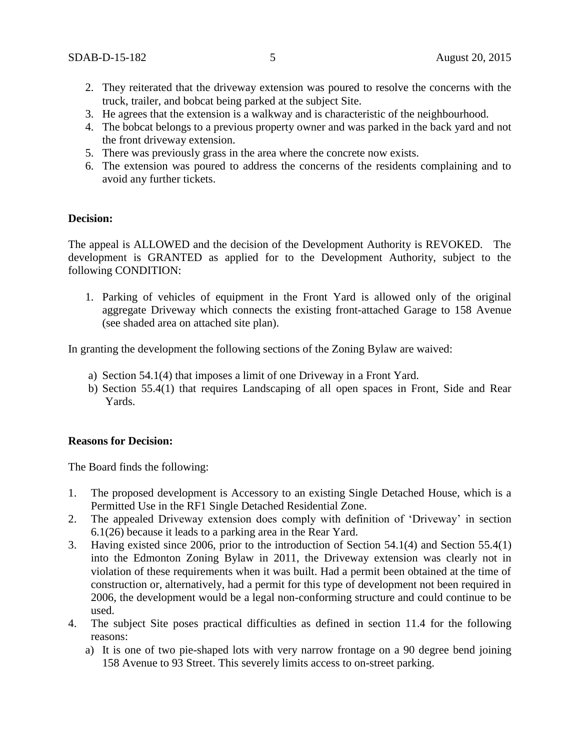- 2. They reiterated that the driveway extension was poured to resolve the concerns with the truck, trailer, and bobcat being parked at the subject Site.
- 3. He agrees that the extension is a walkway and is characteristic of the neighbourhood.
- 4. The bobcat belongs to a previous property owner and was parked in the back yard and not the front driveway extension.
- 5. There was previously grass in the area where the concrete now exists.
- 6. The extension was poured to address the concerns of the residents complaining and to avoid any further tickets.

#### **Decision:**

The appeal is ALLOWED and the decision of the Development Authority is REVOKED. The development is GRANTED as applied for to the Development Authority, subject to the following CONDITION:

1. Parking of vehicles of equipment in the Front Yard is allowed only of the original aggregate Driveway which connects the existing front-attached Garage to 158 Avenue (see shaded area on attached site plan).

In granting the development the following sections of the Zoning Bylaw are waived:

- a) Section 54.1(4) that imposes a limit of one Driveway in a Front Yard.
- b) Section 55.4(1) that requires Landscaping of all open spaces in Front, Side and Rear Yards.

#### **Reasons for Decision:**

The Board finds the following:

- 1. The proposed development is Accessory to an existing Single Detached House, which is a Permitted Use in the RF1 Single Detached Residential Zone.
- 2. The appealed Driveway extension does comply with definition of 'Driveway' in section 6.1(26) because it leads to a parking area in the Rear Yard.
- 3. Having existed since 2006, prior to the introduction of Section 54.1(4) and Section 55.4(1) into the Edmonton Zoning Bylaw in 2011, the Driveway extension was clearly not in violation of these requirements when it was built. Had a permit been obtained at the time of construction or, alternatively, had a permit for this type of development not been required in 2006, the development would be a legal non-conforming structure and could continue to be used.
- 4. The subject Site poses practical difficulties as defined in section 11.4 for the following reasons:
	- a) It is one of two pie-shaped lots with very narrow frontage on a 90 degree bend joining 158 Avenue to 93 Street. This severely limits access to on-street parking.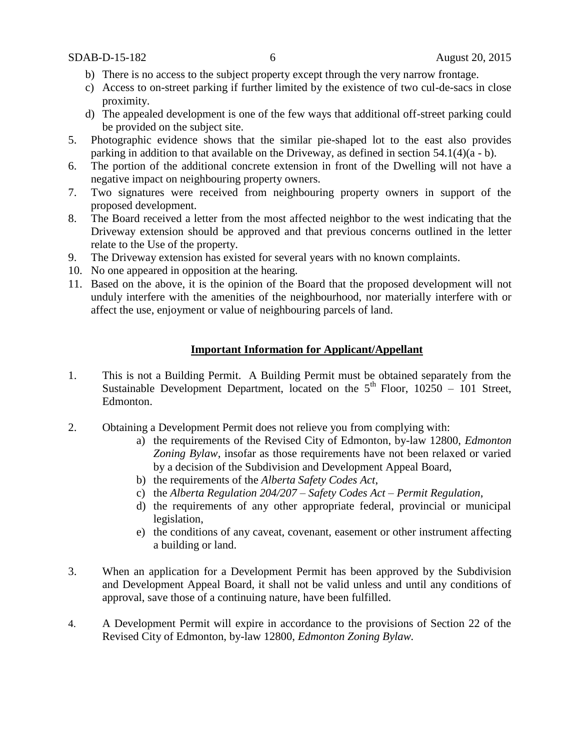- b) There is no access to the subject property except through the very narrow frontage.
- c) Access to on-street parking if further limited by the existence of two cul-de-sacs in close proximity.
- d) The appealed development is one of the few ways that additional off-street parking could be provided on the subject site.
- 5. Photographic evidence shows that the similar pie-shaped lot to the east also provides parking in addition to that available on the Driveway, as defined in section  $54.1(4)(a - b)$ .
- 6. The portion of the additional concrete extension in front of the Dwelling will not have a negative impact on neighbouring property owners.
- 7. Two signatures were received from neighbouring property owners in support of the proposed development.
- 8. The Board received a letter from the most affected neighbor to the west indicating that the Driveway extension should be approved and that previous concerns outlined in the letter relate to the Use of the property.
- 9. The Driveway extension has existed for several years with no known complaints.
- 10. No one appeared in opposition at the hearing.
- 11. Based on the above, it is the opinion of the Board that the proposed development will not unduly interfere with the amenities of the neighbourhood, nor materially interfere with or affect the use, enjoyment or value of neighbouring parcels of land.

#### **Important Information for Applicant/Appellant**

- 1. This is not a Building Permit. A Building Permit must be obtained separately from the Sustainable Development Department, located on the  $5<sup>th</sup>$  Floor, 10250 – 101 Street, Edmonton.
- 2. Obtaining a Development Permit does not relieve you from complying with:
	- a) the requirements of the Revised City of Edmonton, by-law 12800, *Edmonton Zoning Bylaw*, insofar as those requirements have not been relaxed or varied by a decision of the Subdivision and Development Appeal Board,
	- b) the requirements of the *Alberta Safety Codes Act*,
	- c) the *Alberta Regulation 204/207 – Safety Codes Act – Permit Regulation*,
	- d) the requirements of any other appropriate federal, provincial or municipal legislation,
	- e) the conditions of any caveat, covenant, easement or other instrument affecting a building or land.
- 3. When an application for a Development Permit has been approved by the Subdivision and Development Appeal Board, it shall not be valid unless and until any conditions of approval, save those of a continuing nature, have been fulfilled.
- 4. A Development Permit will expire in accordance to the provisions of Section 22 of the Revised City of Edmonton, by-law 12800, *Edmonton Zoning Bylaw.*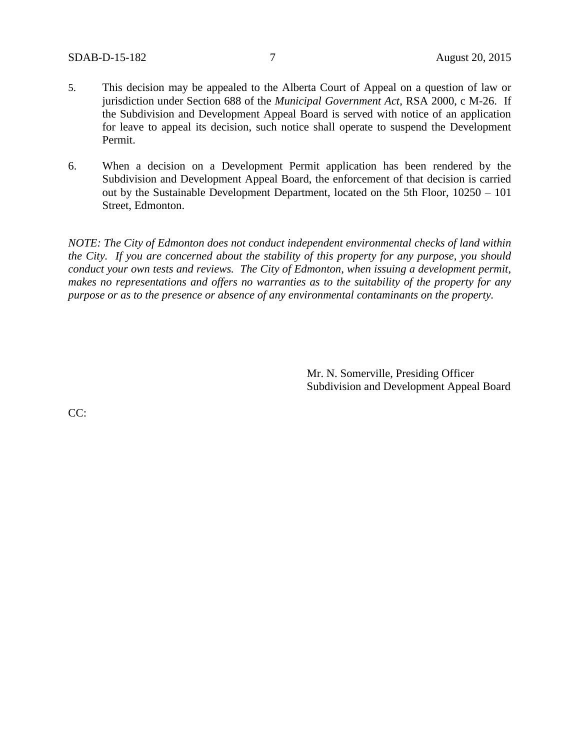- 5. This decision may be appealed to the Alberta Court of Appeal on a question of law or jurisdiction under Section 688 of the *Municipal Government Act*, RSA 2000, c M-26. If the Subdivision and Development Appeal Board is served with notice of an application for leave to appeal its decision, such notice shall operate to suspend the Development Permit.
- 6. When a decision on a Development Permit application has been rendered by the Subdivision and Development Appeal Board, the enforcement of that decision is carried out by the Sustainable Development Department, located on the 5th Floor, 10250 – 101 Street, Edmonton.

*NOTE: The City of Edmonton does not conduct independent environmental checks of land within the City. If you are concerned about the stability of this property for any purpose, you should conduct your own tests and reviews. The City of Edmonton, when issuing a development permit, makes no representations and offers no warranties as to the suitability of the property for any purpose or as to the presence or absence of any environmental contaminants on the property.*

> Mr. N. Somerville, Presiding Officer Subdivision and Development Appeal Board

CC: